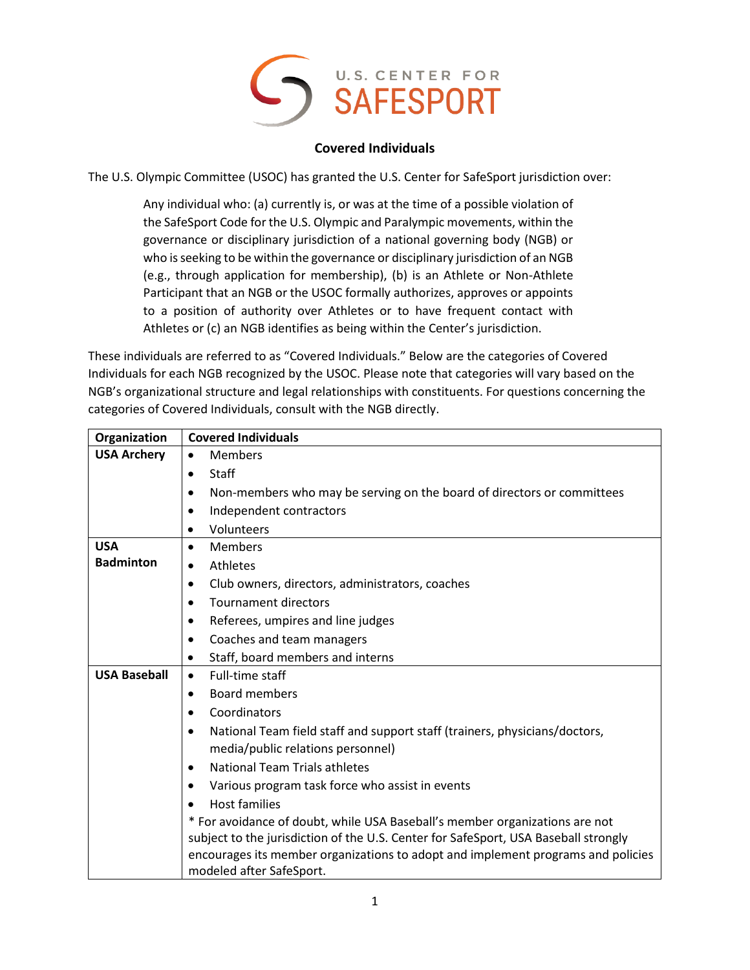

## **Covered Individuals**

The U.S. Olympic Committee (USOC) has granted the U.S. Center for SafeSport jurisdiction over:

Any individual who: (a) currently is, or was at the time of a possible violation of the SafeSport Code for the U.S. Olympic and Paralympic movements, within the governance or disciplinary jurisdiction of a national governing body (NGB) or who is seeking to be within the governance or disciplinary jurisdiction of an NGB (e.g., through application for membership), (b) is an Athlete or Non-Athlete Participant that an NGB or the USOC formally authorizes, approves or appoints to a position of authority over Athletes or to have frequent contact with Athletes or (c) an NGB identifies as being within the Center's jurisdiction.

These individuals are referred to as "Covered Individuals." Below are the categories of Covered Individuals for each NGB recognized by the USOC. Please note that categories will vary based on the NGB's organizational structure and legal relationships with constituents. For questions concerning the categories of Covered Individuals, consult with the NGB directly.

| Organization        | <b>Covered Individuals</b>                                                              |
|---------------------|-----------------------------------------------------------------------------------------|
| <b>USA Archery</b>  | Members<br>$\bullet$                                                                    |
|                     | <b>Staff</b><br>$\bullet$                                                               |
|                     | Non-members who may be serving on the board of directors or committees<br>$\bullet$     |
|                     | Independent contractors<br>$\bullet$                                                    |
|                     | Volunteers                                                                              |
| <b>USA</b>          | <b>Members</b><br>$\bullet$                                                             |
| <b>Badminton</b>    | Athletes<br>$\bullet$                                                                   |
|                     | Club owners, directors, administrators, coaches<br>٠                                    |
|                     | <b>Tournament directors</b><br>٠                                                        |
|                     | Referees, umpires and line judges<br>٠                                                  |
|                     | Coaches and team managers                                                               |
|                     | Staff, board members and interns<br>$\bullet$                                           |
| <b>USA Baseball</b> | Full-time staff<br>$\bullet$                                                            |
|                     | <b>Board members</b><br>$\bullet$                                                       |
|                     | Coordinators<br>$\bullet$                                                               |
|                     | National Team field staff and support staff (trainers, physicians/doctors,<br>$\bullet$ |
|                     | media/public relations personnel)                                                       |
|                     | <b>National Team Trials athletes</b><br>$\bullet$                                       |
|                     | Various program task force who assist in events                                         |
|                     | <b>Host families</b>                                                                    |
|                     | * For avoidance of doubt, while USA Baseball's member organizations are not             |
|                     | subject to the jurisdiction of the U.S. Center for SafeSport, USA Baseball strongly     |
|                     | encourages its member organizations to adopt and implement programs and policies        |
|                     | modeled after SafeSport.                                                                |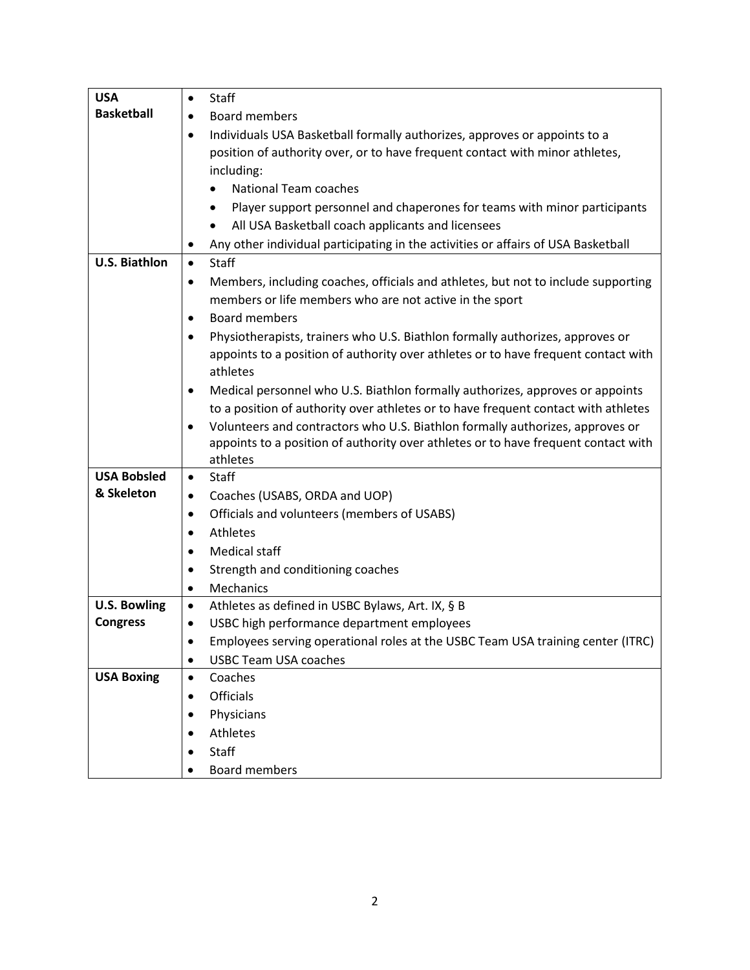| <b>USA</b>                       | <b>Staff</b><br>$\bullet$                                                                      |
|----------------------------------|------------------------------------------------------------------------------------------------|
| <b>Basketball</b>                | <b>Board members</b><br>$\bullet$                                                              |
|                                  | Individuals USA Basketball formally authorizes, approves or appoints to a<br>$\bullet$         |
|                                  | position of authority over, or to have frequent contact with minor athletes,                   |
|                                  | including:                                                                                     |
|                                  | <b>National Team coaches</b><br>٠                                                              |
|                                  | Player support personnel and chaperones for teams with minor participants<br>٠                 |
|                                  | All USA Basketball coach applicants and licensees<br>٠                                         |
|                                  | Any other individual participating in the activities or affairs of USA Basketball              |
| <b>U.S. Biathlon</b>             | <b>Staff</b><br>$\bullet$                                                                      |
|                                  | Members, including coaches, officials and athletes, but not to include supporting<br>$\bullet$ |
|                                  | members or life members who are not active in the sport                                        |
|                                  | <b>Board members</b><br>$\bullet$                                                              |
|                                  | Physiotherapists, trainers who U.S. Biathlon formally authorizes, approves or<br>$\bullet$     |
|                                  | appoints to a position of authority over athletes or to have frequent contact with             |
|                                  | athletes                                                                                       |
|                                  | Medical personnel who U.S. Biathlon formally authorizes, approves or appoints<br>٠             |
|                                  | to a position of authority over athletes or to have frequent contact with athletes             |
|                                  | Volunteers and contractors who U.S. Biathlon formally authorizes, approves or<br>$\bullet$     |
|                                  | appoints to a position of authority over athletes or to have frequent contact with             |
|                                  | athletes                                                                                       |
| <b>USA Bobsled</b><br>& Skeleton | Staff<br>$\bullet$                                                                             |
|                                  | Coaches (USABS, ORDA and UOP)<br>٠                                                             |
|                                  | Officials and volunteers (members of USABS)<br>$\bullet$                                       |
|                                  | Athletes<br>$\bullet$                                                                          |
|                                  | <b>Medical staff</b><br>$\bullet$                                                              |
|                                  | Strength and conditioning coaches<br>٠                                                         |
|                                  | <b>Mechanics</b><br>$\bullet$                                                                  |
| <b>U.S. Bowling</b>              | Athletes as defined in USBC Bylaws, Art. IX, § B<br>$\bullet$                                  |
| <b>Congress</b>                  | USBC high performance department employees<br>$\bullet$                                        |
|                                  | Employees serving operational roles at the USBC Team USA training center (ITRC)                |
|                                  | <b>USBC Team USA coaches</b><br>$\bullet$                                                      |
| <b>USA Boxing</b>                | Coaches<br>$\bullet$                                                                           |
|                                  | Officials<br>$\bullet$                                                                         |
|                                  | Physicians<br>$\bullet$                                                                        |
|                                  | Athletes                                                                                       |
|                                  | Staff                                                                                          |
|                                  | Board members<br>$\bullet$                                                                     |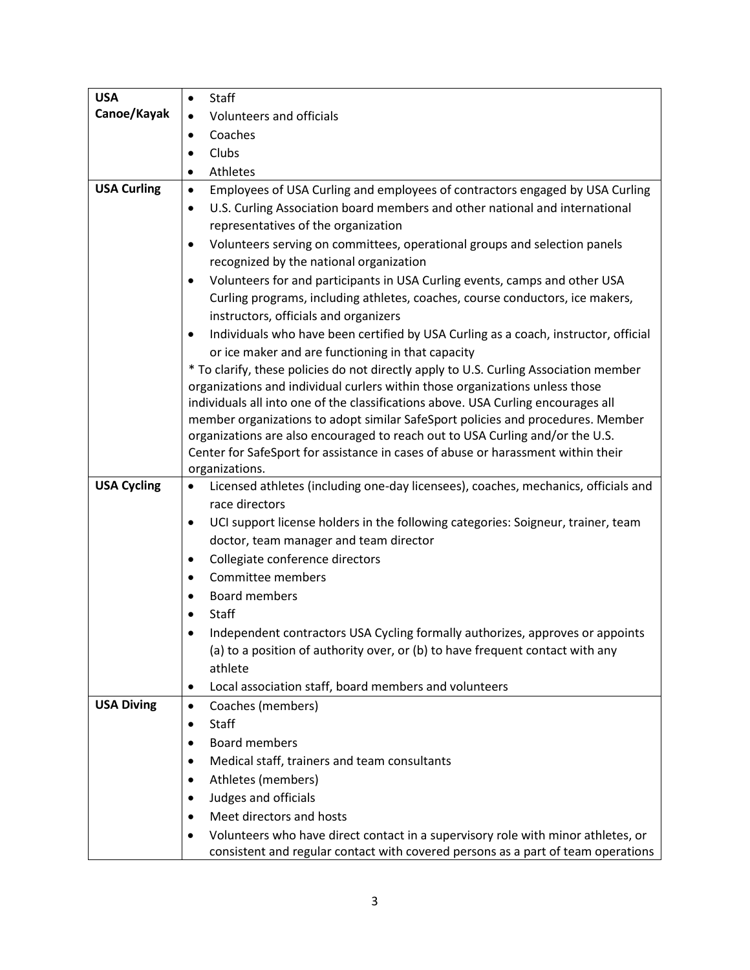| <b>USA</b>         | Staff                                                                                                                                                 |
|--------------------|-------------------------------------------------------------------------------------------------------------------------------------------------------|
| Canoe/Kayak        | Volunteers and officials<br>$\bullet$                                                                                                                 |
|                    | Coaches<br>$\bullet$                                                                                                                                  |
|                    | Clubs                                                                                                                                                 |
|                    | Athletes<br>$\bullet$                                                                                                                                 |
| <b>USA Curling</b> | Employees of USA Curling and employees of contractors engaged by USA Curling<br>$\bullet$                                                             |
|                    | U.S. Curling Association board members and other national and international<br>$\bullet$                                                              |
|                    | representatives of the organization                                                                                                                   |
|                    | Volunteers serving on committees, operational groups and selection panels<br>$\bullet$                                                                |
|                    | recognized by the national organization                                                                                                               |
|                    | Volunteers for and participants in USA Curling events, camps and other USA<br>٠                                                                       |
|                    | Curling programs, including athletes, coaches, course conductors, ice makers,<br>instructors, officials and organizers                                |
|                    | Individuals who have been certified by USA Curling as a coach, instructor, official<br>$\bullet$<br>or ice maker and are functioning in that capacity |
|                    | * To clarify, these policies do not directly apply to U.S. Curling Association member                                                                 |
|                    | organizations and individual curlers within those organizations unless those                                                                          |
|                    | individuals all into one of the classifications above. USA Curling encourages all                                                                     |
|                    | member organizations to adopt similar SafeSport policies and procedures. Member                                                                       |
|                    | organizations are also encouraged to reach out to USA Curling and/or the U.S.                                                                         |
|                    | Center for SafeSport for assistance in cases of abuse or harassment within their                                                                      |
|                    | organizations.                                                                                                                                        |
| <b>USA Cycling</b> | Licensed athletes (including one-day licensees), coaches, mechanics, officials and<br>$\bullet$<br>race directors                                     |
|                    | UCI support license holders in the following categories: Soigneur, trainer, team<br>٠                                                                 |
|                    | doctor, team manager and team director                                                                                                                |
|                    | Collegiate conference directors                                                                                                                       |
|                    | Committee members<br>٠                                                                                                                                |
|                    | <b>Board members</b>                                                                                                                                  |
|                    | Staff                                                                                                                                                 |
|                    | Independent contractors USA Cycling formally authorizes, approves or appoints                                                                         |
|                    | (a) to a position of authority over, or (b) to have frequent contact with any                                                                         |
|                    | athlete                                                                                                                                               |
|                    | Local association staff, board members and volunteers<br>٠                                                                                            |
| <b>USA Diving</b>  | Coaches (members)<br>$\bullet$                                                                                                                        |
|                    | Staff                                                                                                                                                 |
|                    | <b>Board members</b>                                                                                                                                  |
|                    | Medical staff, trainers and team consultants                                                                                                          |
|                    | Athletes (members)                                                                                                                                    |
|                    | Judges and officials                                                                                                                                  |
|                    | Meet directors and hosts                                                                                                                              |
|                    | Volunteers who have direct contact in a supervisory role with minor athletes, or                                                                      |
|                    | consistent and regular contact with covered persons as a part of team operations                                                                      |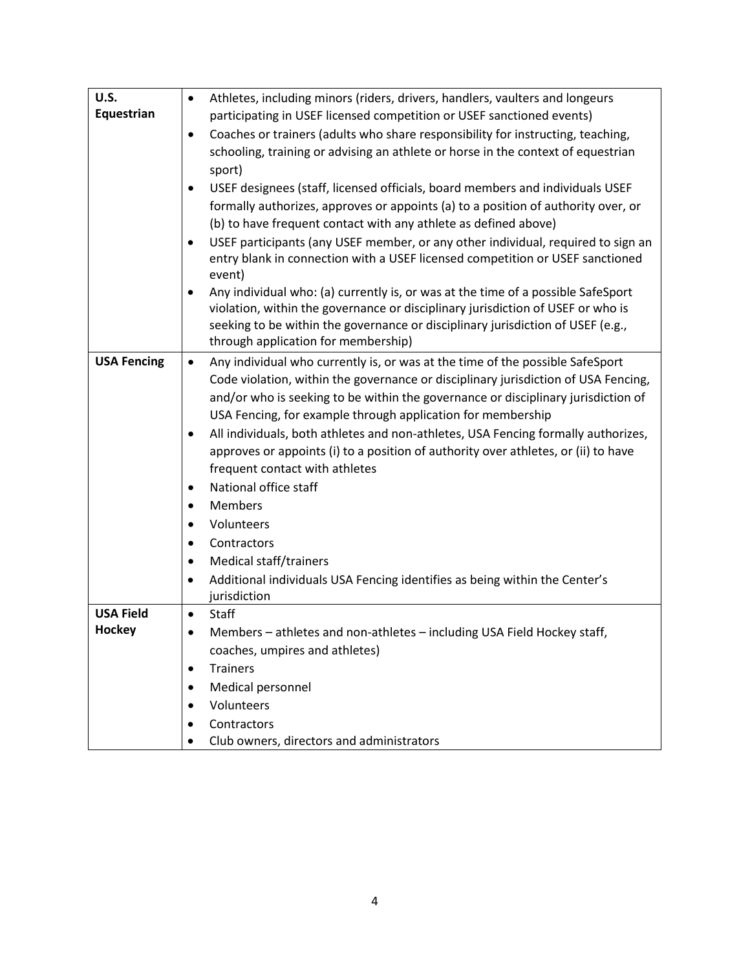| U.S.               | Athletes, including minors (riders, drivers, handlers, vaulters and longeurs<br>$\bullet$                                                                                            |
|--------------------|--------------------------------------------------------------------------------------------------------------------------------------------------------------------------------------|
| Equestrian         | participating in USEF licensed competition or USEF sanctioned events)                                                                                                                |
|                    | Coaches or trainers (adults who share responsibility for instructing, teaching,<br>$\bullet$                                                                                         |
|                    | schooling, training or advising an athlete or horse in the context of equestrian                                                                                                     |
|                    | sport)                                                                                                                                                                               |
|                    | USEF designees (staff, licensed officials, board members and individuals USEF<br>$\bullet$                                                                                           |
|                    | formally authorizes, approves or appoints (a) to a position of authority over, or                                                                                                    |
|                    | (b) to have frequent contact with any athlete as defined above)                                                                                                                      |
|                    | USEF participants (any USEF member, or any other individual, required to sign an<br>٠                                                                                                |
|                    | entry blank in connection with a USEF licensed competition or USEF sanctioned                                                                                                        |
|                    | event)                                                                                                                                                                               |
|                    | Any individual who: (a) currently is, or was at the time of a possible SafeSport                                                                                                     |
|                    | violation, within the governance or disciplinary jurisdiction of USEF or who is                                                                                                      |
|                    | seeking to be within the governance or disciplinary jurisdiction of USEF (e.g.,<br>through application for membership)                                                               |
|                    |                                                                                                                                                                                      |
| <b>USA Fencing</b> | Any individual who currently is, or was at the time of the possible SafeSport<br>$\bullet$                                                                                           |
|                    | Code violation, within the governance or disciplinary jurisdiction of USA Fencing,<br>and/or who is seeking to be within the governance or disciplinary jurisdiction of              |
|                    |                                                                                                                                                                                      |
|                    | USA Fencing, for example through application for membership                                                                                                                          |
|                    | All individuals, both athletes and non-athletes, USA Fencing formally authorizes,<br>$\bullet$<br>approves or appoints (i) to a position of authority over athletes, or (ii) to have |
|                    | frequent contact with athletes                                                                                                                                                       |
|                    | National office staff                                                                                                                                                                |
|                    | $\bullet$<br><b>Members</b>                                                                                                                                                          |
|                    | $\bullet$<br>Volunteers                                                                                                                                                              |
|                    | $\bullet$                                                                                                                                                                            |
|                    | Contractors<br>$\bullet$                                                                                                                                                             |
|                    | Medical staff/trainers<br>٠                                                                                                                                                          |
|                    | Additional individuals USA Fencing identifies as being within the Center's<br>$\bullet$<br>jurisdiction                                                                              |
| <b>USA Field</b>   | Staff<br>$\bullet$                                                                                                                                                                   |
| Hockey             | Members - athletes and non-athletes - including USA Field Hockey staff,                                                                                                              |
|                    | coaches, umpires and athletes)                                                                                                                                                       |
|                    | <b>Trainers</b>                                                                                                                                                                      |
|                    | Medical personnel                                                                                                                                                                    |
|                    | Volunteers                                                                                                                                                                           |
|                    | Contractors                                                                                                                                                                          |
|                    | Club owners, directors and administrators                                                                                                                                            |
|                    |                                                                                                                                                                                      |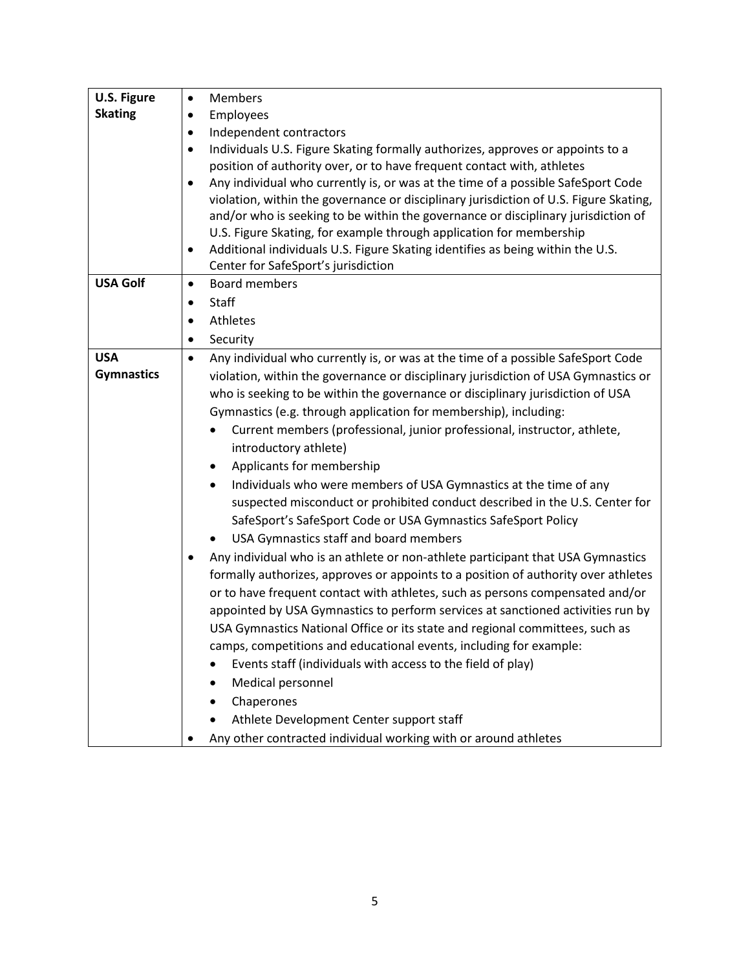| U.S. Figure       | Members<br>$\bullet$                                                                          |
|-------------------|-----------------------------------------------------------------------------------------------|
| <b>Skating</b>    | Employees                                                                                     |
|                   | Independent contractors<br>٠                                                                  |
|                   | Individuals U.S. Figure Skating formally authorizes, approves or appoints to a<br>$\bullet$   |
|                   | position of authority over, or to have frequent contact with, athletes                        |
|                   | Any individual who currently is, or was at the time of a possible SafeSport Code<br>$\bullet$ |
|                   | violation, within the governance or disciplinary jurisdiction of U.S. Figure Skating,         |
|                   | and/or who is seeking to be within the governance or disciplinary jurisdiction of             |
|                   | U.S. Figure Skating, for example through application for membership                           |
|                   | Additional individuals U.S. Figure Skating identifies as being within the U.S.<br>$\bullet$   |
|                   | Center for SafeSport's jurisdiction                                                           |
| <b>USA Golf</b>   | <b>Board members</b><br>$\bullet$                                                             |
|                   | <b>Staff</b><br>$\bullet$                                                                     |
|                   | Athletes<br>$\bullet$                                                                         |
|                   | Security<br>$\bullet$                                                                         |
| <b>USA</b>        | Any individual who currently is, or was at the time of a possible SafeSport Code<br>$\bullet$ |
| <b>Gymnastics</b> | violation, within the governance or disciplinary jurisdiction of USA Gymnastics or            |
|                   | who is seeking to be within the governance or disciplinary jurisdiction of USA                |
|                   | Gymnastics (e.g. through application for membership), including:                              |
|                   | Current members (professional, junior professional, instructor, athlete,<br>$\bullet$         |
|                   | introductory athlete)                                                                         |
|                   | Applicants for membership<br>٠                                                                |
|                   | Individuals who were members of USA Gymnastics at the time of any<br>$\bullet$                |
|                   | suspected misconduct or prohibited conduct described in the U.S. Center for                   |
|                   | SafeSport's SafeSport Code or USA Gymnastics SafeSport Policy                                 |
|                   | USA Gymnastics staff and board members                                                        |
|                   | Any individual who is an athlete or non-athlete participant that USA Gymnastics               |
|                   | formally authorizes, approves or appoints to a position of authority over athletes            |
|                   | or to have frequent contact with athletes, such as persons compensated and/or                 |
|                   | appointed by USA Gymnastics to perform services at sanctioned activities run by               |
|                   | USA Gymnastics National Office or its state and regional committees, such as                  |
|                   |                                                                                               |
|                   | camps, competitions and educational events, including for example:                            |
|                   | Events staff (individuals with access to the field of play)                                   |
|                   | Medical personnel                                                                             |
|                   | Chaperones                                                                                    |
|                   | Athlete Development Center support staff                                                      |
|                   | Any other contracted individual working with or around athletes                               |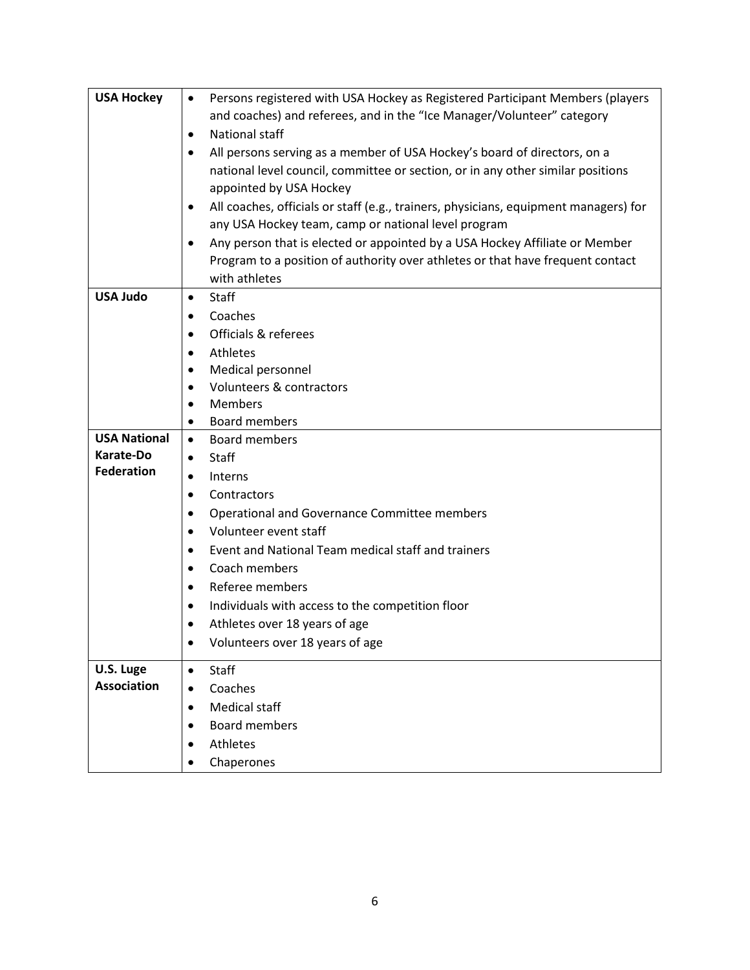| <b>USA Hockey</b>              | Persons registered with USA Hockey as Registered Participant Members (players<br>$\bullet$ |
|--------------------------------|--------------------------------------------------------------------------------------------|
|                                | and coaches) and referees, and in the "Ice Manager/Volunteer" category                     |
|                                | National staff<br>٠                                                                        |
|                                | All persons serving as a member of USA Hockey's board of directors, on a                   |
|                                | national level council, committee or section, or in any other similar positions            |
|                                | appointed by USA Hockey                                                                    |
|                                | All coaches, officials or staff (e.g., trainers, physicians, equipment managers) for<br>٠  |
|                                | any USA Hockey team, camp or national level program                                        |
|                                | Any person that is elected or appointed by a USA Hockey Affiliate or Member                |
|                                | Program to a position of authority over athletes or that have frequent contact             |
|                                | with athletes                                                                              |
| <b>USA Judo</b>                | Staff<br>٠                                                                                 |
|                                | Coaches                                                                                    |
|                                | Officials & referees<br>$\bullet$                                                          |
|                                | Athletes                                                                                   |
|                                | Medical personnel<br>٠                                                                     |
|                                | Volunteers & contractors<br>$\bullet$                                                      |
|                                | <b>Members</b>                                                                             |
|                                | Board members<br>٠                                                                         |
| <b>USA National</b>            | <b>Board members</b><br>$\bullet$                                                          |
| Karate-Do<br><b>Federation</b> | <b>Staff</b><br>$\bullet$                                                                  |
|                                | <b>Interns</b><br>$\bullet$                                                                |
|                                | Contractors<br>$\bullet$                                                                   |
|                                | Operational and Governance Committee members                                               |
|                                | Volunteer event staff<br>$\bullet$                                                         |
|                                | Event and National Team medical staff and trainers<br>$\bullet$                            |
|                                | Coach members<br>٠                                                                         |
|                                | Referee members                                                                            |
|                                | Individuals with access to the competition floor<br>٠                                      |
|                                | Athletes over 18 years of age                                                              |
|                                | Volunteers over 18 years of age                                                            |
| U.S. Luge                      | Staff<br>$\bullet$                                                                         |
| <b>Association</b>             | Coaches<br>$\bullet$                                                                       |
|                                | <b>Medical staff</b>                                                                       |
|                                | <b>Board members</b>                                                                       |
|                                | Athletes                                                                                   |
|                                | Chaperones                                                                                 |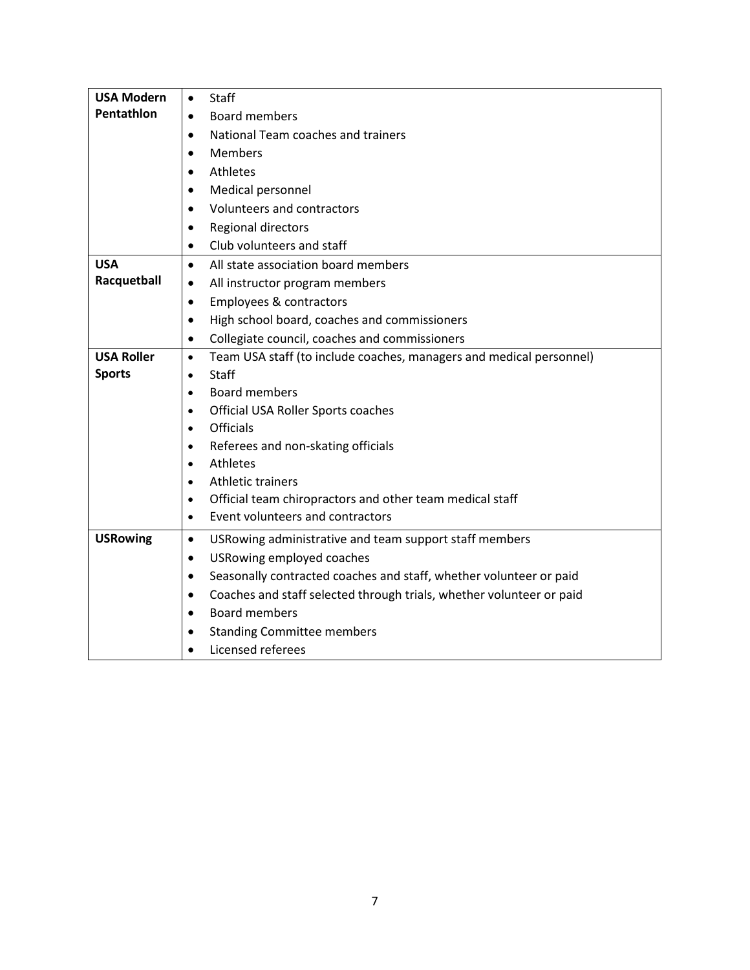| <b>USA Modern</b> | Staff<br>$\bullet$                                                                |
|-------------------|-----------------------------------------------------------------------------------|
| Pentathlon        | Board members<br>$\bullet$                                                        |
|                   | National Team coaches and trainers<br>$\bullet$                                   |
|                   | Members<br>$\bullet$                                                              |
|                   | Athletes<br>$\bullet$                                                             |
|                   | Medical personnel<br>$\bullet$                                                    |
|                   | Volunteers and contractors<br>$\bullet$                                           |
|                   | Regional directors<br>$\bullet$                                                   |
|                   | Club volunteers and staff<br>$\bullet$                                            |
| <b>USA</b>        | All state association board members<br>$\bullet$                                  |
| Racquetball       | All instructor program members<br>$\bullet$                                       |
|                   | Employees & contractors<br>$\bullet$                                              |
|                   | High school board, coaches and commissioners<br>$\bullet$                         |
|                   | Collegiate council, coaches and commissioners<br>$\bullet$                        |
| <b>USA Roller</b> | Team USA staff (to include coaches, managers and medical personnel)<br>$\bullet$  |
| <b>Sports</b>     | Staff<br>$\bullet$                                                                |
|                   | <b>Board members</b><br>$\bullet$                                                 |
|                   | Official USA Roller Sports coaches<br>$\bullet$                                   |
|                   | <b>Officials</b><br>$\bullet$                                                     |
|                   | Referees and non-skating officials<br>$\bullet$                                   |
|                   | <b>Athletes</b><br>$\bullet$                                                      |
|                   | <b>Athletic trainers</b><br>$\bullet$                                             |
|                   | Official team chiropractors and other team medical staff<br>$\bullet$             |
|                   | Event volunteers and contractors<br>$\bullet$                                     |
| <b>USRowing</b>   | USRowing administrative and team support staff members<br>$\bullet$               |
|                   | USRowing employed coaches<br>$\bullet$                                            |
|                   | Seasonally contracted coaches and staff, whether volunteer or paid<br>$\bullet$   |
|                   | Coaches and staff selected through trials, whether volunteer or paid<br>$\bullet$ |
|                   | <b>Board members</b><br>$\bullet$                                                 |
|                   | <b>Standing Committee members</b><br>$\bullet$                                    |
|                   | Licensed referees<br>$\bullet$                                                    |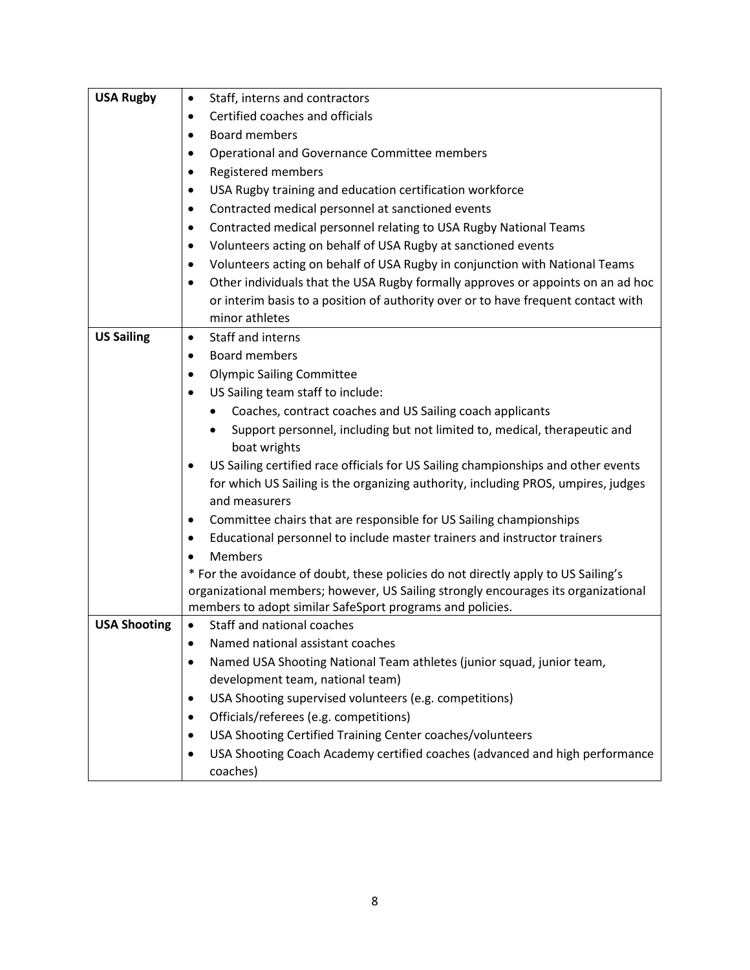| <b>USA Rugby</b>    | Staff, interns and contractors<br>$\bullet$                                                                                                                              |
|---------------------|--------------------------------------------------------------------------------------------------------------------------------------------------------------------------|
|                     | Certified coaches and officials<br>$\bullet$                                                                                                                             |
|                     | <b>Board members</b><br>٠                                                                                                                                                |
|                     | Operational and Governance Committee members                                                                                                                             |
|                     | Registered members<br>٠                                                                                                                                                  |
|                     | USA Rugby training and education certification workforce<br>٠                                                                                                            |
|                     | Contracted medical personnel at sanctioned events<br>٠                                                                                                                   |
|                     | Contracted medical personnel relating to USA Rugby National Teams<br>٠                                                                                                   |
|                     | Volunteers acting on behalf of USA Rugby at sanctioned events<br>$\bullet$                                                                                               |
|                     | Volunteers acting on behalf of USA Rugby in conjunction with National Teams<br>$\bullet$                                                                                 |
|                     | Other individuals that the USA Rugby formally approves or appoints on an ad hoc<br>٠                                                                                     |
|                     | or interim basis to a position of authority over or to have frequent contact with                                                                                        |
|                     | minor athletes                                                                                                                                                           |
| <b>US Sailing</b>   | Staff and interns<br>$\bullet$                                                                                                                                           |
|                     | <b>Board members</b><br>$\bullet$                                                                                                                                        |
|                     | <b>Olympic Sailing Committee</b><br>٠                                                                                                                                    |
|                     | US Sailing team staff to include:                                                                                                                                        |
|                     | Coaches, contract coaches and US Sailing coach applicants<br>٠                                                                                                           |
|                     | Support personnel, including but not limited to, medical, therapeutic and                                                                                                |
|                     | boat wrights                                                                                                                                                             |
|                     | US Sailing certified race officials for US Sailing championships and other events<br>$\bullet$                                                                           |
|                     | for which US Sailing is the organizing authority, including PROS, umpires, judges                                                                                        |
|                     | and measurers                                                                                                                                                            |
|                     | Committee chairs that are responsible for US Sailing championships<br>٠                                                                                                  |
|                     | Educational personnel to include master trainers and instructor trainers<br>٠                                                                                            |
|                     | <b>Members</b>                                                                                                                                                           |
|                     | * For the avoidance of doubt, these policies do not directly apply to US Sailing's<br>organizational members; however, US Sailing strongly encourages its organizational |
|                     | members to adopt similar SafeSport programs and policies.                                                                                                                |
| <b>USA Shooting</b> | Staff and national coaches                                                                                                                                               |
|                     | Named national assistant coaches<br>٠                                                                                                                                    |
|                     | Named USA Shooting National Team athletes (junior squad, junior team,<br>٠                                                                                               |
|                     | development team, national team)                                                                                                                                         |
|                     | USA Shooting supervised volunteers (e.g. competitions)<br>٠                                                                                                              |
|                     | Officials/referees (e.g. competitions)<br>٠                                                                                                                              |
|                     | USA Shooting Certified Training Center coaches/volunteers<br>$\bullet$                                                                                                   |
|                     | USA Shooting Coach Academy certified coaches (advanced and high performance<br>٠                                                                                         |
|                     | coaches)                                                                                                                                                                 |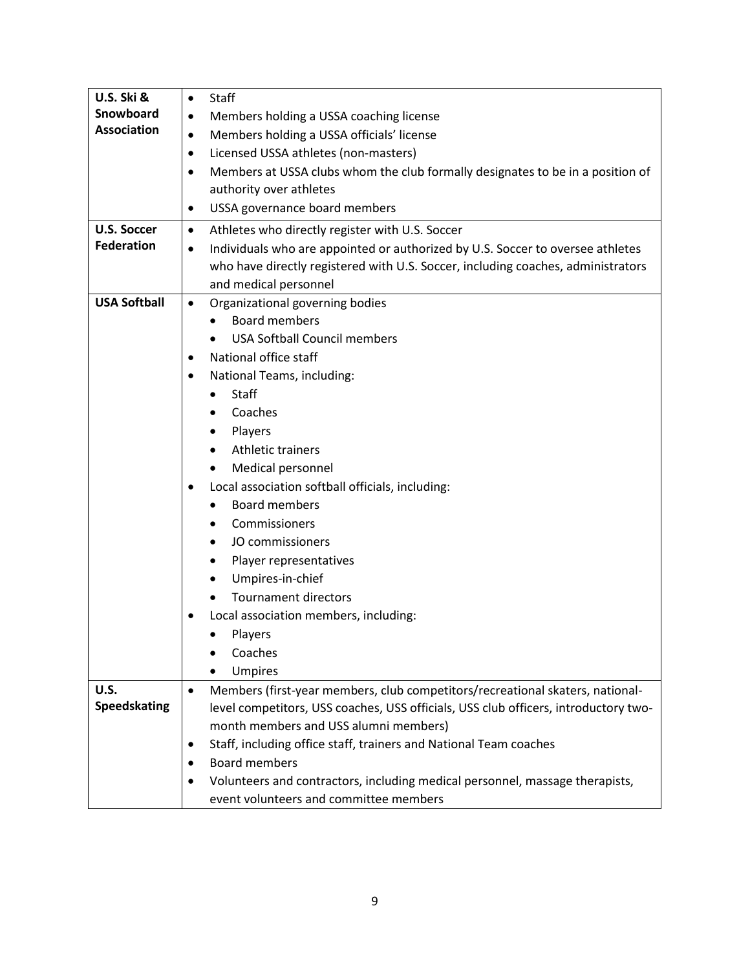| <b>U.S. Ski &amp;</b> | Staff<br>$\bullet$                                                                          |
|-----------------------|---------------------------------------------------------------------------------------------|
| Snowboard             | Members holding a USSA coaching license<br>٠                                                |
| <b>Association</b>    | Members holding a USSA officials' license<br>$\bullet$                                      |
|                       | Licensed USSA athletes (non-masters)<br>$\bullet$                                           |
|                       | Members at USSA clubs whom the club formally designates to be in a position of<br>$\bullet$ |
|                       | authority over athletes                                                                     |
|                       | USSA governance board members<br>٠                                                          |
| <b>U.S. Soccer</b>    | Athletes who directly register with U.S. Soccer<br>٠                                        |
| <b>Federation</b>     | Individuals who are appointed or authorized by U.S. Soccer to oversee athletes<br>$\bullet$ |
|                       | who have directly registered with U.S. Soccer, including coaches, administrators            |
|                       | and medical personnel                                                                       |
| <b>USA Softball</b>   | Organizational governing bodies<br>$\bullet$                                                |
|                       | <b>Board members</b>                                                                        |
|                       | <b>USA Softball Council members</b>                                                         |
|                       | National office staff<br>٠                                                                  |
|                       | National Teams, including:<br>$\bullet$                                                     |
|                       | Staff<br>$\bullet$                                                                          |
|                       | Coaches                                                                                     |
|                       | Players                                                                                     |
|                       | <b>Athletic trainers</b>                                                                    |
|                       | Medical personnel                                                                           |
|                       | Local association softball officials, including:                                            |
|                       | <b>Board members</b>                                                                        |
|                       | Commissioners                                                                               |
|                       | JO commissioners                                                                            |
|                       | Player representatives                                                                      |
|                       | Umpires-in-chief                                                                            |
|                       | <b>Tournament directors</b>                                                                 |
|                       | Local association members, including:                                                       |
|                       | Players                                                                                     |
|                       | Coaches                                                                                     |
|                       | <b>Umpires</b>                                                                              |
| U.S.                  | Members (first-year members, club competitors/recreational skaters, national-<br>$\bullet$  |
| <b>Speedskating</b>   | level competitors, USS coaches, USS officials, USS club officers, introductory two-         |
|                       | month members and USS alumni members)                                                       |
|                       | Staff, including office staff, trainers and National Team coaches<br>٠                      |
|                       | <b>Board members</b>                                                                        |
|                       | Volunteers and contractors, including medical personnel, massage therapists,                |
|                       | event volunteers and committee members                                                      |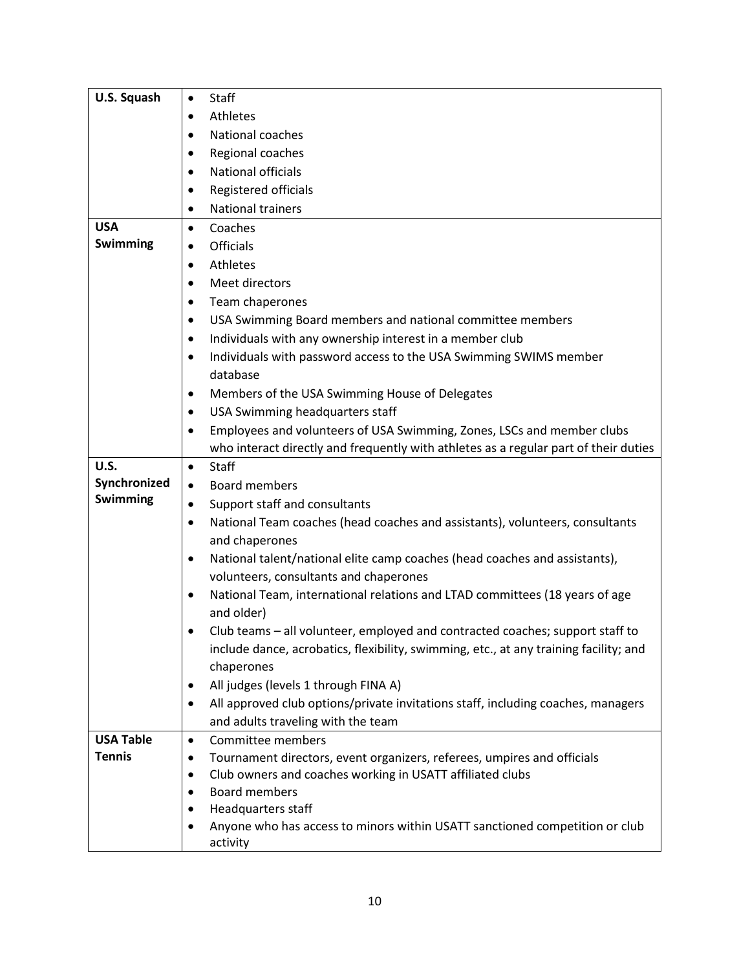| U.S. Squash      | Staff<br>$\bullet$                                                                            |
|------------------|-----------------------------------------------------------------------------------------------|
|                  | Athletes<br>$\bullet$                                                                         |
|                  | National coaches<br>٠                                                                         |
|                  | Regional coaches<br>٠                                                                         |
|                  | <b>National officials</b><br>$\bullet$                                                        |
|                  | Registered officials<br>$\bullet$                                                             |
|                  | <b>National trainers</b><br>$\bullet$                                                         |
| <b>USA</b>       | Coaches<br>$\bullet$                                                                          |
| Swimming         | <b>Officials</b><br>$\bullet$                                                                 |
|                  | Athletes<br>$\bullet$                                                                         |
|                  | Meet directors<br>$\bullet$                                                                   |
|                  | Team chaperones<br>٠                                                                          |
|                  | USA Swimming Board members and national committee members<br>٠                                |
|                  | Individuals with any ownership interest in a member club<br>٠                                 |
|                  | Individuals with password access to the USA Swimming SWIMS member<br>$\bullet$                |
|                  | database                                                                                      |
|                  | Members of the USA Swimming House of Delegates<br>٠                                           |
|                  | USA Swimming headquarters staff<br>٠                                                          |
|                  | Employees and volunteers of USA Swimming, Zones, LSCs and member clubs<br>$\bullet$           |
|                  | who interact directly and frequently with athletes as a regular part of their duties          |
| U.S.             | Staff<br>$\bullet$                                                                            |
| Synchronized     | <b>Board members</b><br>$\bullet$                                                             |
| Swimming         | Support staff and consultants<br>$\bullet$                                                    |
|                  | National Team coaches (head coaches and assistants), volunteers, consultants<br>$\bullet$     |
|                  | and chaperones                                                                                |
|                  | National talent/national elite camp coaches (head coaches and assistants),<br>٠               |
|                  | volunteers, consultants and chaperones                                                        |
|                  | National Team, international relations and LTAD committees (18 years of age<br>$\bullet$      |
|                  | and older)                                                                                    |
|                  | Club teams - all volunteer, employed and contracted coaches; support staff to                 |
|                  | include dance, acrobatics, flexibility, swimming, etc., at any training facility; and         |
|                  | chaperones                                                                                    |
|                  | All judges (levels 1 through FINA A)                                                          |
|                  | All approved club options/private invitations staff, including coaches, managers<br>$\bullet$ |
|                  | and adults traveling with the team                                                            |
| <b>USA Table</b> | Committee members<br>$\bullet$                                                                |
| <b>Tennis</b>    | Tournament directors, event organizers, referees, umpires and officials<br>٠                  |
|                  | Club owners and coaches working in USATT affiliated clubs<br>٠                                |
|                  | <b>Board members</b>                                                                          |
|                  | Headquarters staff<br>٠                                                                       |
|                  | Anyone who has access to minors within USATT sanctioned competition or club                   |
|                  | activity                                                                                      |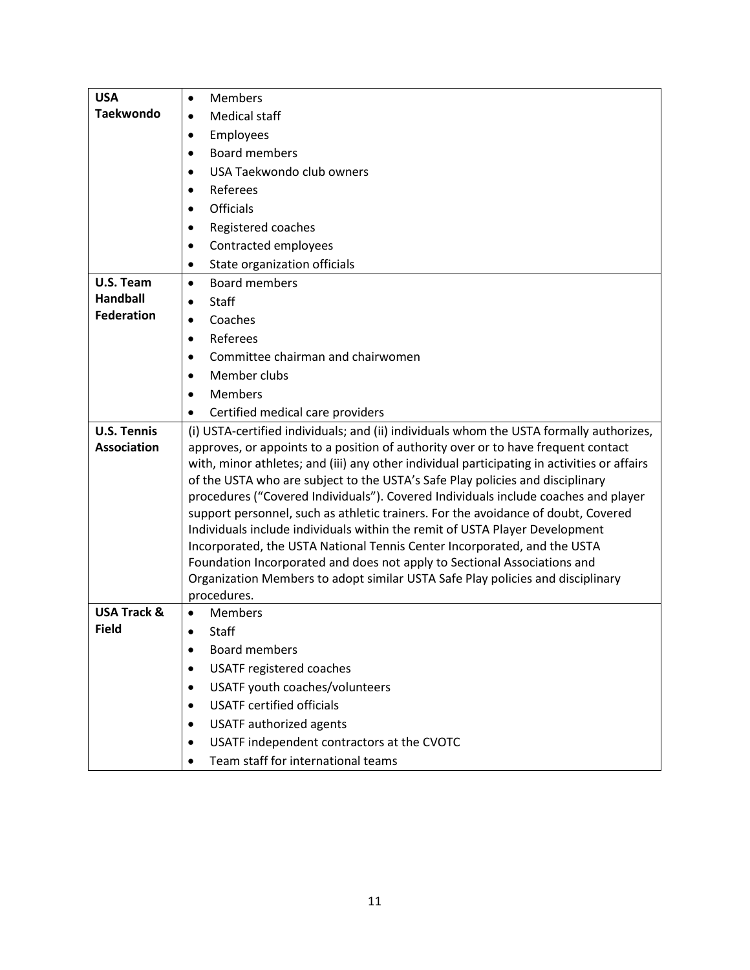| <b>USA</b>                               | <b>Members</b><br>$\bullet$                                                                                                                                                                                                                                                                                                                                                                                                                                                                                                                                                                                                                                                                                                                                                                                                                                                     |
|------------------------------------------|---------------------------------------------------------------------------------------------------------------------------------------------------------------------------------------------------------------------------------------------------------------------------------------------------------------------------------------------------------------------------------------------------------------------------------------------------------------------------------------------------------------------------------------------------------------------------------------------------------------------------------------------------------------------------------------------------------------------------------------------------------------------------------------------------------------------------------------------------------------------------------|
| <b>Taekwondo</b>                         | Medical staff<br>$\bullet$                                                                                                                                                                                                                                                                                                                                                                                                                                                                                                                                                                                                                                                                                                                                                                                                                                                      |
|                                          | Employees<br>$\bullet$                                                                                                                                                                                                                                                                                                                                                                                                                                                                                                                                                                                                                                                                                                                                                                                                                                                          |
|                                          | <b>Board members</b><br>$\bullet$                                                                                                                                                                                                                                                                                                                                                                                                                                                                                                                                                                                                                                                                                                                                                                                                                                               |
|                                          | USA Taekwondo club owners<br>$\bullet$                                                                                                                                                                                                                                                                                                                                                                                                                                                                                                                                                                                                                                                                                                                                                                                                                                          |
|                                          | Referees<br>$\bullet$                                                                                                                                                                                                                                                                                                                                                                                                                                                                                                                                                                                                                                                                                                                                                                                                                                                           |
|                                          | <b>Officials</b><br>$\bullet$                                                                                                                                                                                                                                                                                                                                                                                                                                                                                                                                                                                                                                                                                                                                                                                                                                                   |
|                                          | Registered coaches<br>$\bullet$                                                                                                                                                                                                                                                                                                                                                                                                                                                                                                                                                                                                                                                                                                                                                                                                                                                 |
|                                          | Contracted employees<br>$\bullet$                                                                                                                                                                                                                                                                                                                                                                                                                                                                                                                                                                                                                                                                                                                                                                                                                                               |
|                                          | State organization officials<br>$\bullet$                                                                                                                                                                                                                                                                                                                                                                                                                                                                                                                                                                                                                                                                                                                                                                                                                                       |
| U.S. Team                                | <b>Board members</b><br>$\bullet$                                                                                                                                                                                                                                                                                                                                                                                                                                                                                                                                                                                                                                                                                                                                                                                                                                               |
| <b>Handball</b>                          | Staff<br>$\bullet$                                                                                                                                                                                                                                                                                                                                                                                                                                                                                                                                                                                                                                                                                                                                                                                                                                                              |
| <b>Federation</b>                        | Coaches<br>$\bullet$                                                                                                                                                                                                                                                                                                                                                                                                                                                                                                                                                                                                                                                                                                                                                                                                                                                            |
|                                          | Referees<br>$\bullet$                                                                                                                                                                                                                                                                                                                                                                                                                                                                                                                                                                                                                                                                                                                                                                                                                                                           |
|                                          | Committee chairman and chairwomen<br>٠                                                                                                                                                                                                                                                                                                                                                                                                                                                                                                                                                                                                                                                                                                                                                                                                                                          |
|                                          | Member clubs<br>$\bullet$                                                                                                                                                                                                                                                                                                                                                                                                                                                                                                                                                                                                                                                                                                                                                                                                                                                       |
|                                          | <b>Members</b><br>$\bullet$                                                                                                                                                                                                                                                                                                                                                                                                                                                                                                                                                                                                                                                                                                                                                                                                                                                     |
|                                          | Certified medical care providers<br>٠                                                                                                                                                                                                                                                                                                                                                                                                                                                                                                                                                                                                                                                                                                                                                                                                                                           |
| <b>U.S. Tennis</b><br><b>Association</b> | (i) USTA-certified individuals; and (ii) individuals whom the USTA formally authorizes,<br>approves, or appoints to a position of authority over or to have frequent contact<br>with, minor athletes; and (iii) any other individual participating in activities or affairs<br>of the USTA who are subject to the USTA's Safe Play policies and disciplinary<br>procedures ("Covered Individuals"). Covered Individuals include coaches and player<br>support personnel, such as athletic trainers. For the avoidance of doubt, Covered<br>Individuals include individuals within the remit of USTA Player Development<br>Incorporated, the USTA National Tennis Center Incorporated, and the USTA<br>Foundation Incorporated and does not apply to Sectional Associations and<br>Organization Members to adopt similar USTA Safe Play policies and disciplinary<br>procedures. |
| <b>USA Track &amp;</b>                   | <b>Members</b><br>$\bullet$                                                                                                                                                                                                                                                                                                                                                                                                                                                                                                                                                                                                                                                                                                                                                                                                                                                     |
| <b>Field</b>                             | <b>Staff</b>                                                                                                                                                                                                                                                                                                                                                                                                                                                                                                                                                                                                                                                                                                                                                                                                                                                                    |
|                                          | <b>Board members</b><br>$\bullet$                                                                                                                                                                                                                                                                                                                                                                                                                                                                                                                                                                                                                                                                                                                                                                                                                                               |
|                                          | <b>USATF registered coaches</b><br>$\bullet$                                                                                                                                                                                                                                                                                                                                                                                                                                                                                                                                                                                                                                                                                                                                                                                                                                    |
|                                          | USATF youth coaches/volunteers<br>$\bullet$                                                                                                                                                                                                                                                                                                                                                                                                                                                                                                                                                                                                                                                                                                                                                                                                                                     |
|                                          | <b>USATF certified officials</b><br>$\bullet$                                                                                                                                                                                                                                                                                                                                                                                                                                                                                                                                                                                                                                                                                                                                                                                                                                   |
|                                          | <b>USATF</b> authorized agents<br>$\bullet$                                                                                                                                                                                                                                                                                                                                                                                                                                                                                                                                                                                                                                                                                                                                                                                                                                     |
|                                          | USATF independent contractors at the CVOTC<br>$\bullet$                                                                                                                                                                                                                                                                                                                                                                                                                                                                                                                                                                                                                                                                                                                                                                                                                         |
|                                          | Team staff for international teams<br>$\bullet$                                                                                                                                                                                                                                                                                                                                                                                                                                                                                                                                                                                                                                                                                                                                                                                                                                 |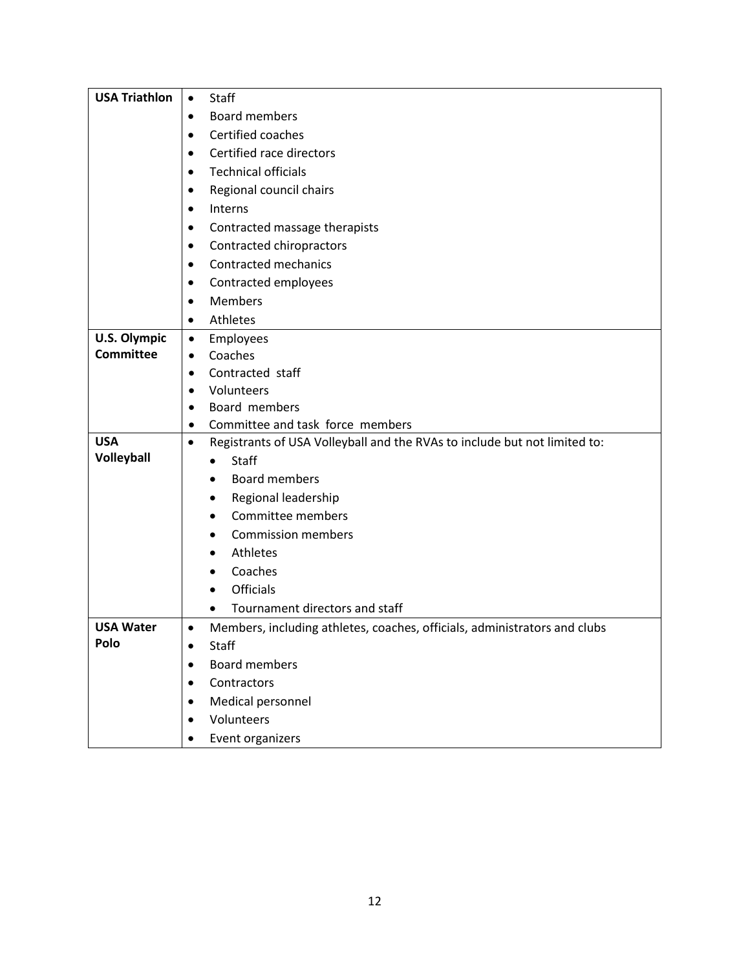| <b>USA Triathlon</b> | Staff<br>$\bullet$                                                                     |
|----------------------|----------------------------------------------------------------------------------------|
|                      | <b>Board members</b><br>$\bullet$                                                      |
|                      | Certified coaches<br>$\bullet$                                                         |
|                      | Certified race directors<br>$\bullet$                                                  |
|                      | <b>Technical officials</b><br>$\bullet$                                                |
|                      | Regional council chairs<br>$\bullet$                                                   |
|                      | Interns<br>$\bullet$                                                                   |
|                      | Contracted massage therapists                                                          |
|                      | Contracted chiropractors<br>٠                                                          |
|                      | <b>Contracted mechanics</b><br>$\bullet$                                               |
|                      | Contracted employees<br>٠                                                              |
|                      | <b>Members</b><br>$\bullet$                                                            |
|                      | Athletes<br>$\bullet$                                                                  |
| <b>U.S. Olympic</b>  | Employees<br>$\bullet$                                                                 |
| <b>Committee</b>     | Coaches<br>$\bullet$                                                                   |
|                      | Contracted staff<br>$\bullet$                                                          |
|                      | Volunteers<br>$\bullet$                                                                |
|                      | Board members<br>$\bullet$                                                             |
| <b>USA</b>           | Committee and task force members<br>$\bullet$                                          |
| Volleyball           | Registrants of USA Volleyball and the RVAs to include but not limited to:<br>$\bullet$ |
|                      | Staff                                                                                  |
|                      | <b>Board members</b><br>$\bullet$                                                      |
|                      | Regional leadership<br>٠<br>Committee members                                          |
|                      | $\bullet$                                                                              |
|                      | <b>Commission members</b><br>Athletes                                                  |
|                      | Coaches                                                                                |
|                      | <b>Officials</b><br>$\bullet$                                                          |
|                      | Tournament directors and staff                                                         |
| <b>USA Water</b>     | Members, including athletes, coaches, officials, administrators and clubs<br>$\bullet$ |
| Polo                 | Staff<br>$\bullet$                                                                     |
|                      | <b>Board members</b>                                                                   |
|                      | Contractors                                                                            |
|                      | Medical personnel<br>$\bullet$                                                         |
|                      | Volunteers                                                                             |
|                      | Event organizers<br>$\bullet$                                                          |
|                      |                                                                                        |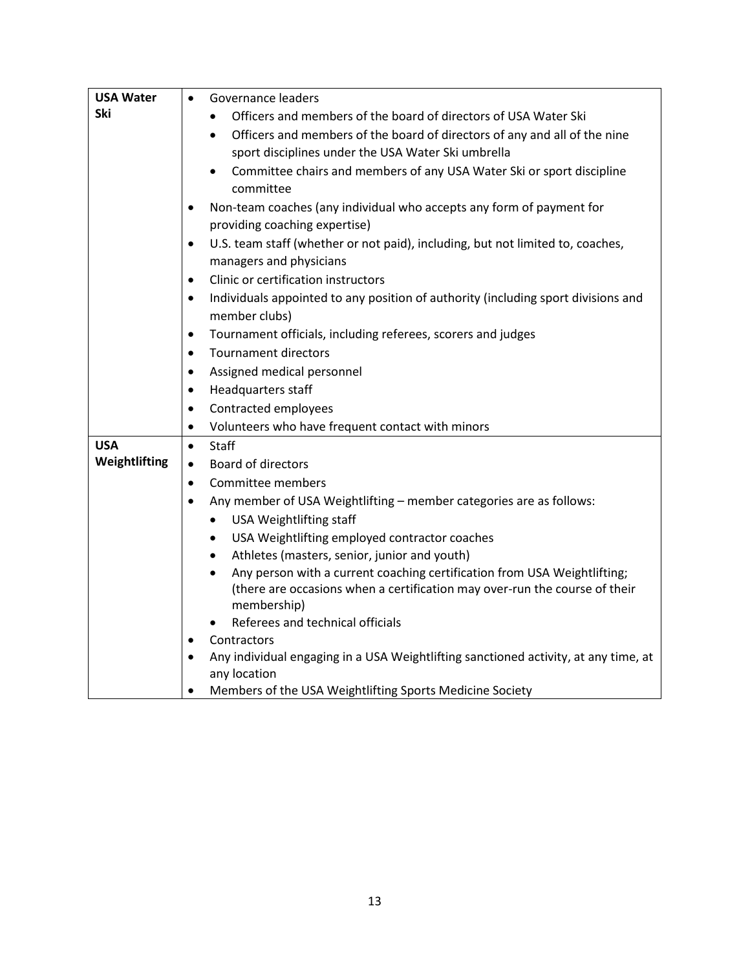| <b>USA Water</b> | Governance leaders<br>$\bullet$                                                                |
|------------------|------------------------------------------------------------------------------------------------|
| <b>Ski</b>       | Officers and members of the board of directors of USA Water Ski                                |
|                  | Officers and members of the board of directors of any and all of the nine<br>$\bullet$         |
|                  | sport disciplines under the USA Water Ski umbrella                                             |
|                  | Committee chairs and members of any USA Water Ski or sport discipline                          |
|                  | committee                                                                                      |
|                  | Non-team coaches (any individual who accepts any form of payment for<br>٠                      |
|                  | providing coaching expertise)                                                                  |
|                  | U.S. team staff (whether or not paid), including, but not limited to, coaches,<br>$\bullet$    |
|                  | managers and physicians                                                                        |
|                  | Clinic or certification instructors<br>$\bullet$                                               |
|                  | Individuals appointed to any position of authority (including sport divisions and<br>$\bullet$ |
|                  | member clubs)                                                                                  |
|                  | Tournament officials, including referees, scorers and judges<br>$\bullet$                      |
|                  | <b>Tournament directors</b><br>$\bullet$                                                       |
|                  | Assigned medical personnel<br>$\bullet$                                                        |
|                  | Headquarters staff<br>$\bullet$                                                                |
|                  | Contracted employees<br>$\bullet$                                                              |
|                  | Volunteers who have frequent contact with minors<br>$\bullet$                                  |
| <b>USA</b>       | Staff<br>$\bullet$                                                                             |
| Weightlifting    | <b>Board of directors</b><br>$\bullet$                                                         |
|                  | Committee members<br>$\bullet$                                                                 |
|                  | Any member of USA Weightlifting - member categories are as follows:<br>$\bullet$               |
|                  | <b>USA Weightlifting staff</b><br>$\bullet$                                                    |
|                  | USA Weightlifting employed contractor coaches<br>$\bullet$                                     |
|                  | Athletes (masters, senior, junior and youth)<br>$\bullet$                                      |
|                  | Any person with a current coaching certification from USA Weightlifting;<br>$\bullet$          |
|                  | (there are occasions when a certification may over-run the course of their<br>membership)      |
|                  | Referees and technical officials                                                               |
|                  | Contractors<br>٠                                                                               |
|                  | Any individual engaging in a USA Weightlifting sanctioned activity, at any time, at            |
|                  | any location                                                                                   |
|                  | Members of the USA Weightlifting Sports Medicine Society<br>$\bullet$                          |